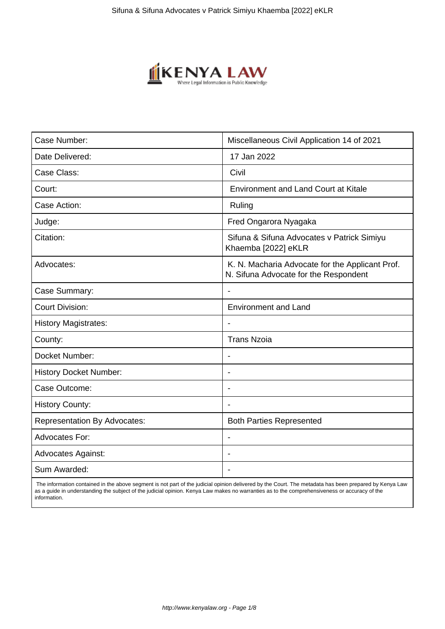

| Case Number:                        | Miscellaneous Civil Application 14 of 2021                                               |
|-------------------------------------|------------------------------------------------------------------------------------------|
| Date Delivered:                     | 17 Jan 2022                                                                              |
| Case Class:                         | Civil                                                                                    |
| Court:                              | <b>Environment and Land Court at Kitale</b>                                              |
| Case Action:                        | Ruling                                                                                   |
| Judge:                              | Fred Ongarora Nyagaka                                                                    |
| Citation:                           | Sifuna & Sifuna Advocates v Patrick Simiyu<br>Khaemba [2022] eKLR                        |
| Advocates:                          | K. N. Macharia Advocate for the Applicant Prof.<br>N. Sifuna Advocate for the Respondent |
| Case Summary:                       | $\blacksquare$                                                                           |
| <b>Court Division:</b>              | <b>Environment and Land</b>                                                              |
| <b>History Magistrates:</b>         |                                                                                          |
| County:                             | <b>Trans Nzoia</b>                                                                       |
| Docket Number:                      | $\overline{\phantom{a}}$                                                                 |
| <b>History Docket Number:</b>       | $\overline{\phantom{0}}$                                                                 |
| Case Outcome:                       |                                                                                          |
| <b>History County:</b>              |                                                                                          |
| <b>Representation By Advocates:</b> | <b>Both Parties Represented</b>                                                          |
| Advocates For:                      |                                                                                          |
| <b>Advocates Against:</b>           |                                                                                          |
| Sum Awarded:                        |                                                                                          |

 The information contained in the above segment is not part of the judicial opinion delivered by the Court. The metadata has been prepared by Kenya Law as a guide in understanding the subject of the judicial opinion. Kenya Law makes no warranties as to the comprehensiveness or accuracy of the information.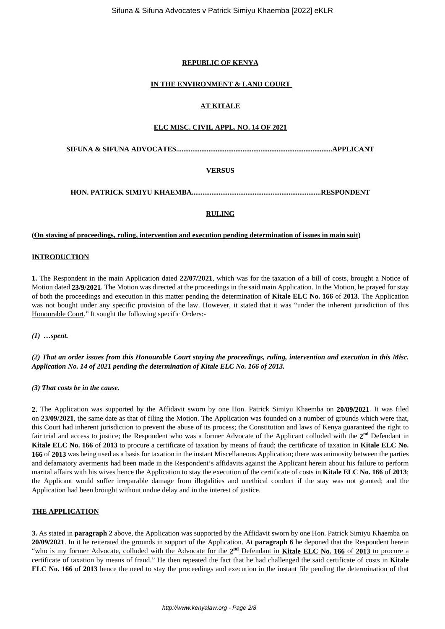## **REPUBLIC OF KENYA**

## **IN THE ENVIRONMENT & LAND COURT**

## **AT KITALE**

#### **ELC MISC. CIVIL APPL. NO. 14 OF 2021**

**SIFUNA & SIFUNA ADVOCATES.......................................................................................APPLICANT**

## **VERSUS**

**HON. PATRICK SIMIYU KHAEMBA........................................................................RESPONDENT**

## **RULING**

**(On staying of proceedings, ruling, intervention and execution pending determination of issues in main suit)**

## **INTRODUCTION**

**1.** The Respondent in the main Application dated **22/07/2021**, which was for the taxation of a bill of costs, brought a Notice of Motion dated **23/9/2021**. The Motion was directed at the proceedings in the said main Application. In the Motion, he prayed for stay of both the proceedings and execution in this matter pending the determination of **Kitale ELC No. 166** of **2013**. The Application was not bought under any specific provision of the law. However, it stated that it was "under the inherent jurisdiction of this Honourable Court." It sought the following specific Orders:-

*(1) …spent.* 

*(2) That an order issues from this Honourable Court staying the proceedings, ruling, intervention and execution in this Misc. Application No. 14 of 2021 pending the determination of Kitale ELC No. 166 of 2013.*

*(3) That costs be in the cause.*

**2.** The Application was supported by the Affidavit sworn by one Hon. Patrick Simiyu Khaemba on **20/09/2021**. It was filed on **23/09/2021**, the same date as that of filing the Motion. The Application was founded on a number of grounds which were that, this Court had inherent jurisdiction to prevent the abuse of its process; the Constitution and laws of Kenya guaranteed the right to fair trial and access to justice; the Respondent who was a former Advocate of the Applicant colluded with the 2<sup>nd</sup> Defendant in **Kitale ELC No. 166** of **2013** to procure a certificate of taxation by means of fraud; the certificate of taxation in **Kitale ELC No. 166** of **2013** was being used as a basis for taxation in the instant Miscellaneous Application; there was animosity between the parties and defamatory averments had been made in the Respondent's affidavits against the Applicant herein about his failure to perform marital affairs with his wives hence the Application to stay the execution of the certificate of costs in **Kitale ELC No. 166** of **2013**; the Applicant would suffer irreparable damage from illegalities and unethical conduct if the stay was not granted; and the Application had been brought without undue delay and in the interest of justice.

## **THE APPLICATION**

**3.** As stated in **paragraph 2** above, the Application was supported by the Affidavit sworn by one Hon. Patrick Simiyu Khaemba on **20/09/2021**. In it he reiterated the grounds in support of the Application. At **paragraph 6** he deponed that the Respondent herein "who is my former Advocate, colluded with the Advocate for the  $2^{nd}$  Defendant in **Kitale ELC No. 166** of 2013 to procure a certificate of taxation by means of fraud." He then repeated the fact that he had challenged the said certificate of costs in **Kitale ELC No. 166** of **2013** hence the need to stay the proceedings and execution in the instant file pending the determination of that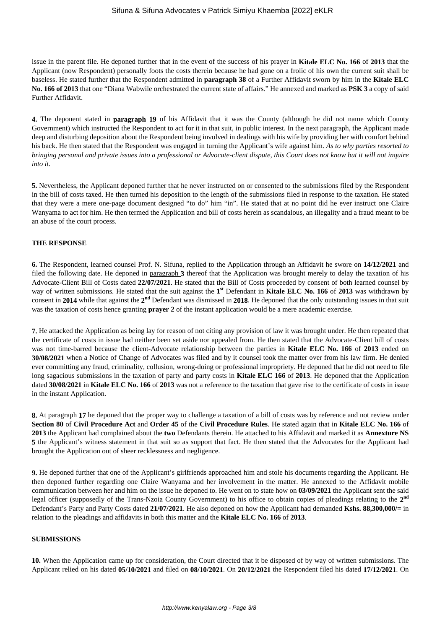issue in the parent file. He deponed further that in the event of the success of his prayer in **Kitale ELC No. 166** of **2013** that the Applicant (now Respondent) personally foots the costs therein because he had gone on a frolic of his own the current suit shall be baseless. He stated further that the Respondent admitted in **paragraph 38** of a Further Affidavit sworn by him in the **Kitale ELC No. 166 of 2013** that one "Diana Wabwile orchestrated the current state of affairs." He annexed and marked as **PSK 3** a copy of said Further Affidavit.

**4.** The deponent stated in **paragraph 19** of his Affidavit that it was the County (although he did not name which County Government) which instructed the Respondent to act for it in that suit, in public interest. In the next paragraph, the Applicant made deep and disturbing deposition about the Respondent being involved in dealings with his wife by providing her with comfort behind his back. He then stated that the Respondent was engaged in turning the Applicant's wife against him. *As to why parties resorted to bringing personal and private issues into a professional or Advocate-client dispute, this Court does not know but it will not inquire into it*.

**5.** Nevertheless, the Applicant deponed further that he never instructed on or consented to the submissions filed by the Respondent in the bill of costs taxed. He then turned his deposition to the length of the submissions filed in response to the taxation. He stated that they were a mere one-page document designed "to do" him "in". He stated that at no point did he ever instruct one Claire Wanyama to act for him. He then termed the Application and bill of costs herein as scandalous, an illegality and a fraud meant to be an abuse of the court process.

# **THE RESPONSE**

**6.** The Respondent, learned counsel Prof. N. Sifuna, replied to the Application through an Affidavit he swore on **14/12/2021** and filed the following date. He deponed in paragraph **3** thereof that the Application was brought merely to delay the taxation of his Advocate-Client Bill of Costs dated **22/07/2021**. He stated that the Bill of Costs proceeded by consent of both learned counsel by way of written submissions. He stated that the suit against the 1<sup>st</sup> Defendant in Kitale ELC No. 166 of 2013 was withdrawn by consent in **2014** while that against the **2 nd** Defendant was dismissed in **2018**. He deponed that the only outstanding issues in that suit was the taxation of costs hence granting **prayer 2** of the instant application would be a mere academic exercise.

**7.** He attacked the Application as being lay for reason of not citing any provision of law it was brought under. He then repeated that the certificate of costs in issue had neither been set aside nor appealed from. He then stated that the Advocate-Client bill of costs was not time-barred because the client-Advocate relationship between the parties in **Kitale ELC No. 166** of **2013** ended on **30/08/2021** when a Notice of Change of Advocates was filed and by it counsel took the matter over from his law firm. He denied ever committing any fraud, criminality, collusion, wrong-doing or professional impropriety. He deponed that he did not need to file long sagacious submissions in the taxation of party and party costs in **Kitale ELC 166** of **2013**. He deponed that the Application dated **30/08/2021** in **Kitale ELC No. 166** of **2013** was not a reference to the taxation that gave rise to the certificate of costs in issue in the instant Application.

**8.** At paragraph **17** he deponed that the proper way to challenge a taxation of a bill of costs was by reference and not review under **Section 80** of **Civil Procedure Act** and **Order 45** of the **Civil Procedure Rules**. He stated again that in **Kitale ELC No. 166** of **2013** the Applicant had complained about the **two** Defendants therein. He attached to his Affidavit and marked it as **Annexture NS 5** the Applicant's witness statement in that suit so as support that fact. He then stated that the Advocates for the Applicant had brought the Application out of sheer recklessness and negligence.

**9.** He deponed further that one of the Applicant's girlfriends approached him and stole his documents regarding the Applicant. He then deponed further regarding one Claire Wanyama and her involvement in the matter. He annexed to the Affidavit mobile communication between her and him on the issue he deponed to. He went on to state how on **03/09/2021** the Applicant sent the said legal officer (supposedly of the Trans-Nzoia County Government) to his office to obtain copies of pleadings relating to the **2nd** Defendant's Party and Party Costs dated **21/07/2021**. He also deponed on how the Applicant had demanded **Kshs. 88,300,000/=** in relation to the pleadings and affidavits in both this matter and the **Kitale ELC No. 166** of **2013**.

#### **SUBMISSIONS**

**10.** When the Application came up for consideration, the Court directed that it be disposed of by way of written submissions. The Applicant relied on his dated **05/10/2021** and filed on **08/10/2021**. On **20/12/2021** the Respondent filed his dated **17/12/2021**. On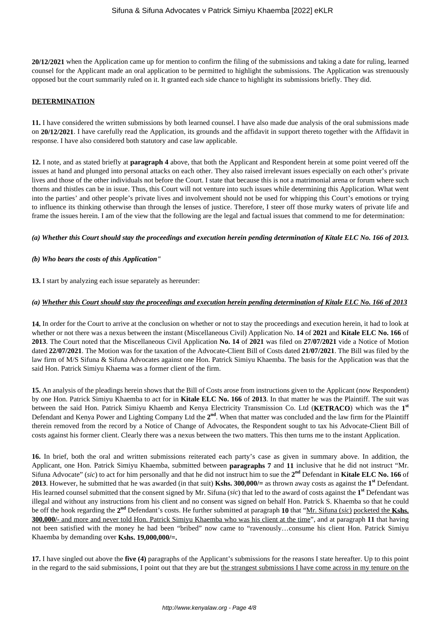**20/12/2021** when the Application came up for mention to confirm the filing of the submissions and taking a date for ruling, learned counsel for the Applicant made an oral application to be permitted to highlight the submissions. The Application was strenuously opposed but the court summarily ruled on it. It granted each side chance to highlight its submissions briefly. They did.

#### **DETERMINATION**

**11.** I have considered the written submissions by both learned counsel. I have also made due analysis of the oral submissions made on **20/12/2021**. I have carefully read the Application, its grounds and the affidavit in support thereto together with the Affidavit in response. I have also considered both statutory and case law applicable.

**12.** I note, and as stated briefly at **paragraph 4** above, that both the Applicant and Respondent herein at some point veered off the issues at hand and plunged into personal attacks on each other. They also raised irrelevant issues especially on each other's private lives and those of the other individuals not before the Court. I state that because this is not a matrimonial arena or forum where such thorns and thistles can be in issue. Thus, this Court will not venture into such issues while determining this Application. What went into the parties' and other people's private lives and involvement should not be used for whipping this Court's emotions or trying to influence its thinking otherwise than through the lenses of justice. Therefore, I steer off those murky waters of private life and frame the issues herein. I am of the view that the following are the legal and factual issues that commend to me for determination:

#### *(a) Whether this Court should stay the proceedings and execution herein pending determination of Kitale ELC No. 166 of 2013.*

#### *(b) Who bears the costs of this Application"*

**13.** I start by analyzing each issue separately as hereunder:

#### *(a) Whether this Court should stay the proceedings and execution herein pending determination of Kitale ELC No. 166 of 2013*

**14.** In order for the Court to arrive at the conclusion on whether or not to stay the proceedings and execution herein, it had to look at whether or not there was a nexus between the instant (Miscellaneous Civil) Application No. **14** of **2021** and **Kitale ELC No. 166** of **2013**. The Court noted that the Miscellaneous Civil Application **No. 14** of **2021** was filed on **27/07/2021** vide a Notice of Motion dated **22/07/2021**. The Motion was for the taxation of the Advocate-Client Bill of Costs dated **21/07/2021**. The Bill was filed by the law firm of M/S Sifuna & Sifuna Advocates against one Hon. Patrick Simiyu Khaemba. The basis for the Application was that the said Hon. Patrick Simiyu Khaema was a former client of the firm.

**15.** An analysis of the pleadings herein shows that the Bill of Costs arose from instructions given to the Applicant (now Respondent) by one Hon. Patrick Simiyu Khaemba to act for in **Kitale ELC No. 166** of **2013**. In that matter he was the Plaintiff. The suit was between the said Hon. Patrick Simiyu Khaemb and Kenya Electricity Transmission Co. Ltd (**KETRACO**) which was the **1 st** Defendant and Kenya Power and Lighting Company Ltd the 2<sup>nd</sup>. When that matter was concluded and the law firm for the Plaintiff therein removed from the record by a Notice of Change of Advocates, the Respondent sought to tax his Advocate-Client Bill of costs against his former client. Clearly there was a nexus between the two matters. This then turns me to the instant Application.

**16.** In brief, both the oral and written submissions reiterated each party's case as given in summary above. In addition, the Applicant, one Hon. Patrick Simiyu Khaemba, submitted between **paragraphs 7** and **11** inclusive that he did not instruct "Mr. Sifuna Advocate" (*sic*) to act for him personally and that he did not instruct him to sue the **2 nd** Defendant in **Kitale ELC No. 166** of **2013**. However, he submitted that he was awarded (in that suit) **Kshs. 300,000/=** as thrown away costs as against the **1 st** Defendant. His learned counsel submitted that the consent signed by Mr. Sifuna (*sic*) that led to the award of costs against the **1 st** Defendant was illegal and without any instructions from his client and no consent was signed on behalf Hon. Patrick S. Khaemba so that he could be off the hook regarding the **2 nd** Defendant's costs. He further submitted at paragraph **10** that "Mr. Sifuna (*sic*) pocketed the **Kshs. 300,000/-** and more and never told Hon. Patrick Simiyu Khaemba who was his client at the time", and at paragraph **11** that having not been satisfied with the money he had been "bribed" now came to "ravenously…consume his client Hon. Patrick Simiyu Khaemba by demanding over **Kshs. 19,000,000/=.**

**17.** I have singled out above the **five (4)** paragraphs of the Applicant's submissions for the reasons I state hereafter. Up to this point in the regard to the said submissions, I point out that they are but the strangest submissions I have come across in my tenure on the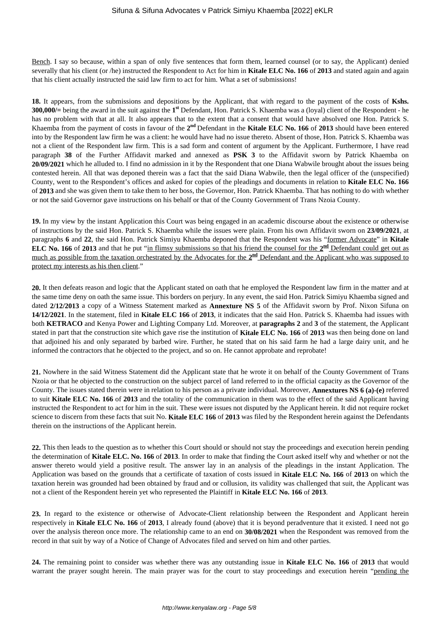Bench. I say so because, within a span of only five sentences that form them, learned counsel (or to say, the Applicant) denied severally that his client (or /he) instructed the Respondent to Act for him in **Kitale ELC No. 166** of **2013** and stated again and again that his client actually instructed the said law firm to act for him. What a set of submissions!

**18.** It appears, from the submissions and depositions by the Applicant, that with regard to the payment of the costs of **Kshs. 300,000/=** being the award in the suit against the **1 st** Defendant, Hon. Patrick S. Khaemba was a (loyal) client of the Respondent - he has no problem with that at all. It also appears that to the extent that a consent that would have absolved one Hon. Patrick S. Khaemba from the payment of costs in favour of the 2<sup>nd</sup> Defendant in the Kitale ELC No. 166 of 2013 should have been entered into by the Respondent law firm he was a client: he would have had no issue thereto. Absent of those, Hon. Patrick S. Khaemba was not a client of the Respondent law firm. This is a sad form and content of argument by the Applicant. Furthermore, I have read paragraph **38** of the Further Affidavit marked and annexed as **PSK 3** to the Affidavit sworn by Patrick Khaemba on **20/09/2021** which he alluded to. I find no admission in it by the Respondent that one Diana Wabwile brought about the issues being contested herein. All that was deponed therein was a fact that the said Diana Wabwile, then the legal officer of the (unspecified) County, went to the Respondent's offices and asked for copies of the pleadings and documents in relation to **Kitale ELC No. 166** of **2013** and she was given them to take them to her boss, the Governor, Hon. Patrick Khaemba. That has nothing to do with whether or not the said Governor gave instructions on his behalf or that of the County Government of Trans Nzoia County.

**19.** In my view by the instant Application this Court was being engaged in an academic discourse about the existence or otherwise of instructions by the said Hon. Patrick S. Khaemba while the issues were plain. From his own Affidavit sworn on **23/09/2021**, at paragraphs **6** and **22**, the said Hon. Patrick Simiyu Khaemba deponed that the Respondent was his "former Advocate" in **Kitale ELC No. 166** of 2013 and that he put "in flimsy submissions so that his friend the counsel for the 2<sup>nd</sup> Defendant could get out as much as possible from the taxation orchestrated by the Advocates for the 2<sup>nd</sup> Defendant and the Applicant who was supposed to protect my interests as his then client."

**20.** It then defeats reason and logic that the Applicant stated on oath that he employed the Respondent law firm in the matter and at the same time deny on oath the same issue. This borders on perjury. In any event, the said Hon. Patrick Simiyu Khaemba signed and dated **2/12/2013** a copy of a Witness Statement marked as **Annexture NS 5** of the Affidavit sworn by Prof. Nixon Sifuna on **14/12/2021**. In the statement, filed in **Kitale ELC 166** of **2013**, it indicates that the said Hon. Patrick S. Khaemba had issues with both **KETRACO** and Kenya Power and Lighting Company Ltd. Moreover, at **paragraphs 2** and **3** of the statement, the Applicant stated in part that the construction site which gave rise the institution of **Kitale ELC No. 166** of **2013** was then being done on land that adjoined his and only separated by barbed wire. Further, he stated that on his said farm he had a large dairy unit, and he informed the contractors that he objected to the project, and so on. He cannot approbate and reprobate!

**21.** Nowhere in the said Witness Statement did the Applicant state that he wrote it on behalf of the County Government of Trans Nzoia or that he objected to the construction on the subject parcel of land referred to in the official capacity as the Governor of the County. The issues stated therein were in relation to his person as a private individual. Moreover, **Annextures NS 6 (a)-(e)** referred to suit **Kitale ELC No. 166** of **2013** and the totality of the communication in them was to the effect of the said Applicant having instructed the Respondent to act for him in the suit. These were issues not disputed by the Applicant herein. It did not require rocket science to discern from these facts that suit No. **Kitale ELC 166** of **2013** was filed by the Respondent herein against the Defendants therein on the instructions of the Applicant herein.

**22.** This then leads to the question as to whether this Court should or should not stay the proceedings and execution herein pending the determination of **Kitale ELC. No. 166** of **2013**. In order to make that finding the Court asked itself why and whether or not the answer thereto would yield a positive result. The answer lay in an analysis of the pleadings in the instant Application. The Application was based on the grounds that a certificate of taxation of costs issued in **Kitale ELC No. 166** of **2013** on which the taxation herein was grounded had been obtained by fraud and or collusion, its validity was challenged that suit, the Applicant was not a client of the Respondent herein yet who represented the Plaintiff in **Kitale ELC No. 166** of **2013**.

**23.** In regard to the existence or otherwise of Advocate-Client relationship between the Respondent and Applicant herein respectively in **Kitale ELC No. 166** of **2013**, I already found (above) that it is beyond peradventure that it existed. I need not go over the analysis thereon once more. The relationship came to an end on **30/08/2021** when the Respondent was removed from the record in that suit by way of a Notice of Change of Advocates filed and served on him and other parties.

**24.** The remaining point to consider was whether there was any outstanding issue in **Kitale ELC No. 166** of **2013** that would warrant the prayer sought herein. The main prayer was for the court to stay proceedings and execution herein "pending the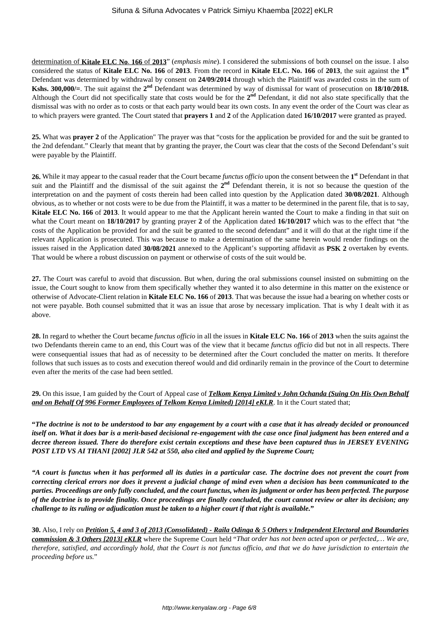determination of **Kitale ELC No**. **166** of **2013**" (*emphasis mine*). I considered the submissions of both counsel on the issue. I also considered the status of **Kitale ELC No. 166** of **2013**. From the record in **Kitale ELC. No. 166** of **2013**, the suit against the **1 st** Defendant was determined by withdrawal by consent on **24/09/2014** through which the Plaintiff was awarded costs in the sum of **Kshs. 300,000/**=. The suit against the  $2^{nd}$  Defendant was determined by way of dismissal for want of prosecution on 18/10/2018. Although the Court did not specifically state that costs would be for the 2<sup>nd</sup> Defendant, it did not also state specifically that the dismissal was with no order as to costs or that each party would bear its own costs. In any event the order of the Court was clear as to which prayers were granted. The Court stated that **prayers 1** and **2** of the Application dated **16/10/2017** were granted as prayed.

**25.** What was **prayer 2** of the Application" The prayer was that "costs for the application be provided for and the suit be granted to the 2nd defendant." Clearly that meant that by granting the prayer, the Court was clear that the costs of the Second Defendant's suit were payable by the Plaintiff.

**26.** While it may appear to the casual reader that the Court became *functus officio* upon the consent between the **1 st** Defendant in that suit and the Plaintiff and the dismissal of the suit against the  $2<sup>nd</sup>$  Defendant therein, it is not so because the question of the interpretation on and the payment of costs therein had been called into question by the Application dated **30/08/2021**. Although obvious, as to whether or not costs were to be due from the Plaintiff, it was a matter to be determined in the parent file, that is to say, **Kitale ELC No. 166** of **2013**. It would appear to me that the Applicant herein wanted the Court to make a finding in that suit on what the Court meant on **18/10/2017** by granting prayer **2** of the Application dated **16/10/2017** which was to the effect that "the costs of the Application be provided for and the suit be granted to the second defendant" and it will do that at the right time if the relevant Application is prosecuted. This was because to make a determination of the same herein would render findings on the issues raised in the Application dated **30/08/2021** annexed to the Applicant's supporting affidavit as **PSK 2** overtaken by events. That would be where a robust discussion on payment or otherwise of costs of the suit would be.

**27.** The Court was careful to avoid that discussion. But when, during the oral submissions counsel insisted on submitting on the issue, the Court sought to know from them specifically whether they wanted it to also determine in this matter on the existence or otherwise of Advocate-Client relation in **Kitale ELC No. 166** of **2013**. That was because the issue had a bearing on whether costs or not were payable. Both counsel submitted that it was an issue that arose by necessary implication. That is why I dealt with it as above.

**28.** In regard to whether the Court became *functus officio* in all the issues in **Kitale ELC No. 166** of **2013** when the suits against the two Defendants therein came to an end, this Court was of the view that it became *functus officio* did but not in all respects. There were consequential issues that had as of necessity to be determined after the Court concluded the matter on merits. It therefore follows that such issues as to costs and execution thereof would and did ordinarily remain in the province of the Court to determine even after the merits of the case had been settled.

**29.** On this issue, I am guided by the Court of Appeal case of *Telkom Kenya Limited v John Ochanda (Suing On His Own Behalf and on Behalf Of 996 Former Employees of Telkom Kenya Limited) [2014] eKLR***. In it the Court stated that;** 

**"***The doctrine is not to be understood to bar any engagement by a court with a case that it has already decided or pronounced itself on. What it does bar is a merit-based decisional re-engagement with the case once final judgment has been entered and a decree thereon issued. There do therefore exist certain exceptions and these have been captured thus in JERSEY EVENING POST LTD VS AI THANI [2002] JLR 542 at 550, also cited and applied by the Supreme Court;*

*"A court is functus when it has performed all its duties in a particular case. The doctrine does not prevent the court from correcting clerical errors nor does it prevent a judicial change of mind even when a decision has been communicated to the parties. Proceedings are only fully concluded, and the court functus, when its judgment or order has been perfected. The purpose of the doctrine is to provide finality. Once proceedings are finally concluded, the court cannot review or alter its decision; any challenge to its ruling or adjudication must be taken to a higher court if that right is available.***"**

**30.** Also, I rely on *Petition 5, 4 and 3 of 2013 (Consolidated) - Raila Odinga & 5 Others v Independent Electoral and Boundaries commission & 3 Others [2013] eKLR* where the Supreme Court held "*That order has not been acted upon or perfected,… We are, therefore, satisfied, and accordingly hold, that the Court is not functus officio, and that we do have jurisdiction to entertain the proceeding before us.*"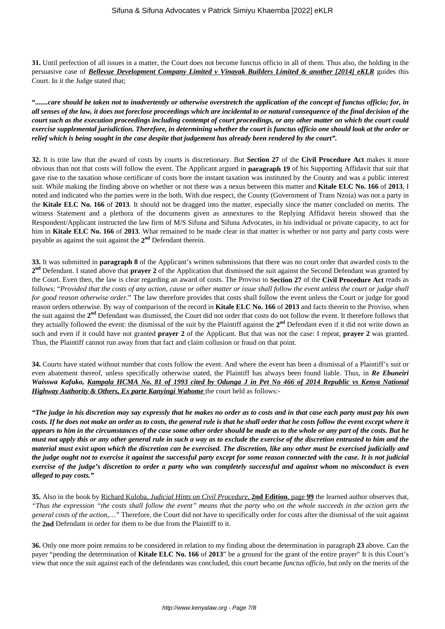**31.** Until perfection of all issues in a matter, the Court does not become functus officio in all of them. Thus also, the holding in the persuasive case of *Bellevue Development Company Limited v Vinayak Builders Limited & another [2014] eKLR* guides this Court. In it the Judge stated that;

**"***.......care should be taken not to inadvertently or otherwise overstretch the application of the concept of functus officio; for, in all senses of the law, it does not foreclose proceedings which are incidental to or natural consequence of the final decision of the court such as the execution proceedings including contempt of court proceedings, or any other matter on which the court could exercise supplemental jurisdiction. Therefore, in determining whether the court is functus officio one should look at the order or relief which is being sought in the case despite that judgement has already been rendered by the court".* 

**32.** It is trite law that the award of costs by courts is discretionary. But **Section 27** of the **Civil Procedure Act** makes it more obvious than not that costs will follow the event. The Applicant argued in **paragraph 19** of his Supporting Affidavit that suit that gave rise to the taxation whose certificate of costs bore the instant taxation was instituted by the County and was a public interest suit. While making the finding above on whether or not there was a nexus between this matter and **Kitale ELC No. 166** of **2013**, I noted and indicated who the parties were in the both. With due respect, the County (Government of Trans Nzoia) was not a party in the **Kitale ELC No. 166** of **2013**. It should not be dragged into the matter, especially since the matter concluded on merits. The witness Statement and a plethora of the documents given as annextures to the Replying Affidavit herein showed that the Respondent/Applicant instructed the law firm of M/S Sifuna and Sifuna Advocates, in his individual or private capacity, to act for him in **Kitale ELC No. 166** of **2013**. What remained to be made clear in that matter is whether or not party and party costs were payable as against the suit against the **2 nd** Defendant therein.

**33.** It was submitted in **paragraph 8** of the Applicant's written submissions that there was no court order that awarded costs to the **2 nd** Defendant. I stated above that **prayer 2** of the Application that dismissed the suit against the Second Defendant was granted by the Court. Even then, the law is clear regarding an award of costs. The Proviso to **Section 27** of the **Civil Procedure Act** reads as follows: "*Provided that the costs of any action, cause or other matter or issue shall follow the event unless the court or judge shall for good reason otherwise order.*" The law therefore provides that costs shall follow the event unless the Court or judge for good reason orders otherwise. By way of comparison of the record in **Kitale ELC No. 166** of **2013** and facts therein to the Proviso, when the suit against the **2 nd** Defendant was dismissed, the Court did not order that costs do not follow the event. It therefore follows that they actually followed the event: the dismissal of the suit by the Plaintiff against the **2 nd** Defendant even if it did not write down as such and even if it could have not granted **prayer 2** of the Applicant. But that was not the case: I repeat, **prayer 2** was granted. Thus, the Plaintiff cannot run away from that fact and claim collusion or fraud on that point.

**34.** Courts have stated without number that costs follow the event. And where the event has been a dismissal of a Plaintiff's suit or even abatement thereof, unless specifically otherwise stated, the Plaintiff has always been found liable. Thus, in *Re Ebuneiri Waisswa Kafuko, Kampala HCMA No. 81 of 1993 cited by Odunga J in Pet No 466 of 2014 Republic vs Kenya National Highway Authority & Others, Ex parte Kanyingi Wahome* the court held as follows:-

*"The judge in his discretion may say expressly that he makes no order as to costs and in that case each party must pay his own costs. If he does not make an order as to costs, the general rule is that he shall order that he costs follow the event except where it appears to him in the circumstances of the case some other order should be made as to the whole or any part of the costs. But he must not apply this or any other general rule in such a way as to exclude the exercise of the discretion entrusted to him and the material must exist upon which the discretion can be exercised. The discretion, like any other must be exercised judicially and the judge ought not to exercise it against the successful party except for some reason connected with the case. It is not judicial exercise of the judge's discretion to order a party who was completely successful and against whom no misconduct is even alleged to pay costs."* 

**35.** Also in the book by Richard Kuloba, *Judicial Hints on Civil Procedure*, **2nd Edition**, page **99** the learned author observes that, *"Thus the expression "the costs shall follow the event" means that the party who on the whole succeeds in the action gets the general costs of the action,…"* Therefore, the Court did not have to specifically order for costs after the dismissal of the suit against the **2nd** Defendant in order for them to be due from the Plaintiff to it.

**36.** Only one more point remains to be considered in relation to my finding about the determination in paragraph **23** above. Can the payer "pending the determination of **Kitale ELC No. 166** of **2013**" be a ground for the grant of the entire prayer" It is this Court's view that once the suit against each of the defendants was concluded, this court became *functus officio*, but only on the merits of the